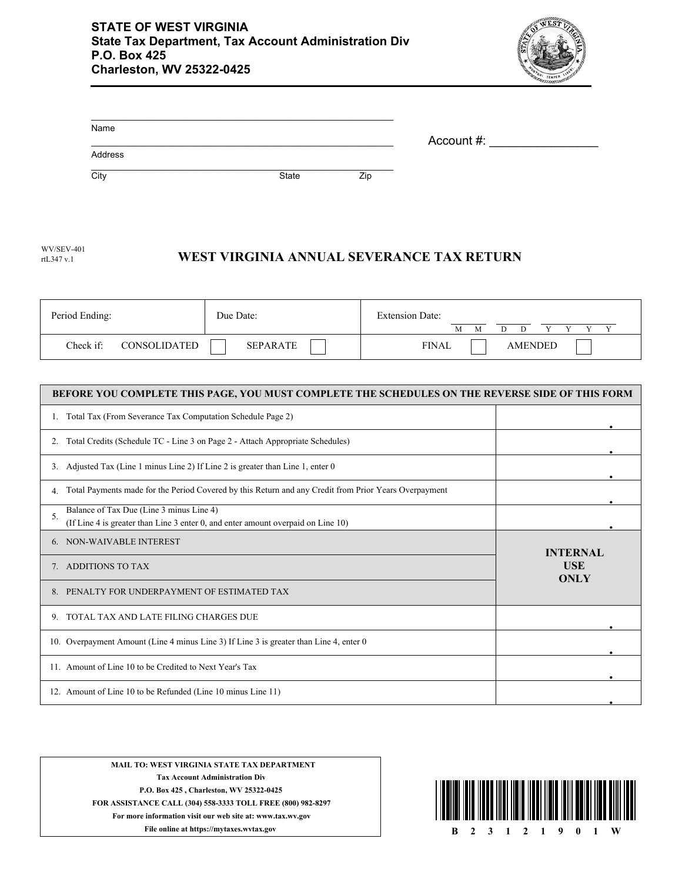

| Name    |       |     | Account #: |  |
|---------|-------|-----|------------|--|
| Address |       |     |            |  |
| City    | State | Zip |            |  |

| <b>WV/SEV-401</b> |                                           |
|-------------------|-------------------------------------------|
| rtL347 v.1        | WEST VIRGINIA ANNUAL SEVERANCE TAX RETURN |

| Period Ending:            | Due Date: | <b>Extension Date:</b><br>М    |
|---------------------------|-----------|--------------------------------|
| Check if:<br>CONSOLIDATED | SEPARATE  | <b>FINAL</b><br><b>AMENDED</b> |

| BEFORE YOU COMPLETE THIS PAGE, YOU MUST COMPLETE THE SCHEDULES ON THE REVERSE SIDE OF THIS FORM             |                           |
|-------------------------------------------------------------------------------------------------------------|---------------------------|
| Total Tax (From Severance Tax Computation Schedule Page 2)                                                  |                           |
| Total Credits (Schedule TC - Line 3 on Page 2 - Attach Appropriate Schedules)<br>2.                         |                           |
| Adjusted Tax (Line 1 minus Line 2) If Line 2 is greater than Line 1, enter 0<br>3.                          |                           |
| Total Payments made for the Period Covered by this Return and any Credit from Prior Years Overpayment<br>4. |                           |
| Balance of Tax Due (Line 3 minus Line 4)                                                                    |                           |
| 5.<br>(If Line 4 is greater than Line 3 enter 0, and enter amount overpaid on Line 10)                      |                           |
| 6. NON-WAIVABLE INTEREST                                                                                    | <b>INTERNAL</b>           |
| ADDITIONS TO TAX                                                                                            | <b>USE</b><br><b>ONLY</b> |
| PENALTY FOR UNDERPAYMENT OF ESTIMATED TAX                                                                   |                           |
| TOTAL TAX AND LATE FILING CHARGES DUE<br>9.                                                                 |                           |
| 10. Overpayment Amount (Line 4 minus Line 3) If Line 3 is greater than Line 4, enter 0                      |                           |
| 11. Amount of Line 10 to be Credited to Next Year's Tax                                                     |                           |
| 12. Amount of Line 10 to be Refunded (Line 10 minus Line 11)                                                |                           |

**MAIL TO: WEST VIRGINIA STATE TAX DEPARTMENT Tax Account Administration Div P.O. Box 425 , Charleston, WV 25322-0425 FOR ASSISTANCE CALL (304) 558-3333 TOLL FREE (800) 982-8297 For more information visit our web site at: www.tax.wv.gov**

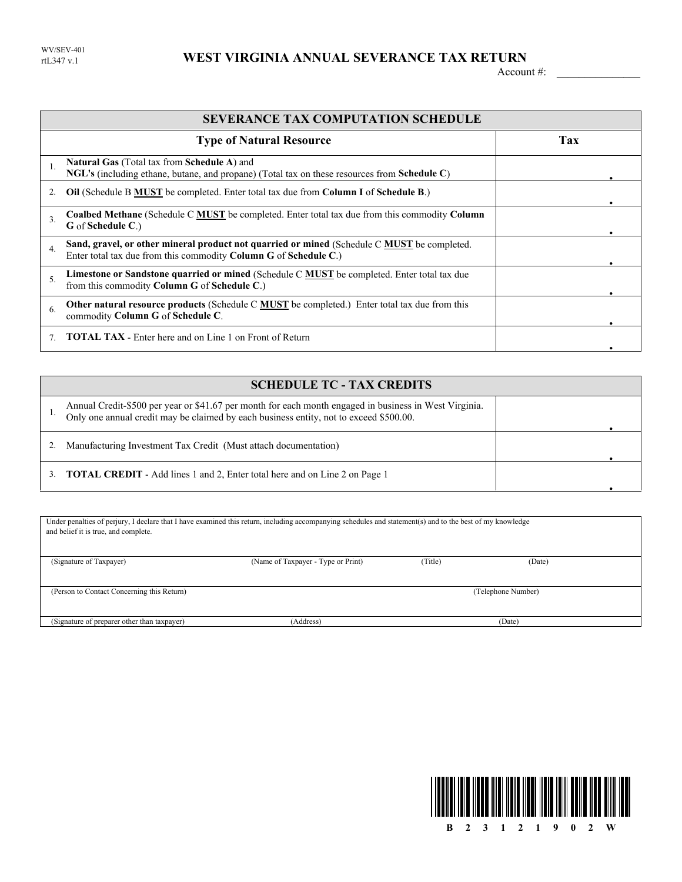## WEST VIRGINIA ANNUAL SEVERANCE TAX RETURN

Account #:

|              | <b>SEVERANCE TAX COMPUTATION SCHEDULE</b>                                                                                                                       |     |  |  |  |  |
|--------------|-----------------------------------------------------------------------------------------------------------------------------------------------------------------|-----|--|--|--|--|
|              | <b>Type of Natural Resource</b>                                                                                                                                 | Tax |  |  |  |  |
|              | <b>Natural Gas</b> (Total tax from <b>Schedule A</b> ) and<br>NGL's (including ethane, butane, and propane) (Total tax on these resources from Schedule C)      |     |  |  |  |  |
|              | <b>Oil</b> (Schedule B MUST be completed. Enter total tax due from Column I of Schedule B.)                                                                     |     |  |  |  |  |
| $\mathbf{3}$ | <b>Coalbed Methane</b> (Schedule C <b>MUST</b> be completed. Enter total tax due from this commodity Column<br>G of Schedule C.)                                |     |  |  |  |  |
| 4.           | Sand, gravel, or other mineral product not quarried or mined (Schedule C MUST be completed.<br>Enter total tax due from this commodity Column G of Schedule C.) |     |  |  |  |  |
| 5.           | Limestone or Sandstone quarried or mined (Schedule C <b>MUST</b> be completed. Enter total tax due<br>from this commodity Column G of Schedule C.)              |     |  |  |  |  |
| 6.           | <b>Other natural resource products</b> (Schedule C <b>MUST</b> be completed.) Enter total tax due from this<br>commodity Column G of Schedule C.                |     |  |  |  |  |
|              | <b>TOTAL TAX</b> - Enter here and on Line 1 on Front of Return                                                                                                  |     |  |  |  |  |

| <b>SCHEDULE TC - TAX CREDITS</b>                                                                                                                                                                 |  |
|--------------------------------------------------------------------------------------------------------------------------------------------------------------------------------------------------|--|
| Annual Credit-\$500 per year or \$41.67 per month for each month engaged in business in West Virginia.<br>Only one annual credit may be claimed by each business entity, not to exceed \$500.00. |  |
| Manufacturing Investment Tax Credit (Must attach documentation)                                                                                                                                  |  |
| <b>TOTAL CREDIT</b> - Add lines 1 and 2, Enter total here and on Line 2 on Page 1                                                                                                                |  |

| Under penalties of perjury, I declare that I have examined this return, including accompanying schedules and statement(s) and to the best of my knowledge |                                    |         |                    |  |
|-----------------------------------------------------------------------------------------------------------------------------------------------------------|------------------------------------|---------|--------------------|--|
| and belief it is true, and complete.                                                                                                                      |                                    |         |                    |  |
|                                                                                                                                                           |                                    |         |                    |  |
|                                                                                                                                                           |                                    |         |                    |  |
| (Signature of Taxpayer)                                                                                                                                   | (Name of Taxpayer - Type or Print) | (Title) | (Date)             |  |
|                                                                                                                                                           |                                    |         |                    |  |
|                                                                                                                                                           |                                    |         |                    |  |
| (Person to Contact Concerning this Return)                                                                                                                |                                    |         | (Telephone Number) |  |
|                                                                                                                                                           |                                    |         |                    |  |
|                                                                                                                                                           |                                    |         |                    |  |
| (Signature of preparer other than taxpayer)                                                                                                               | (Address)                          |         | (Date)             |  |

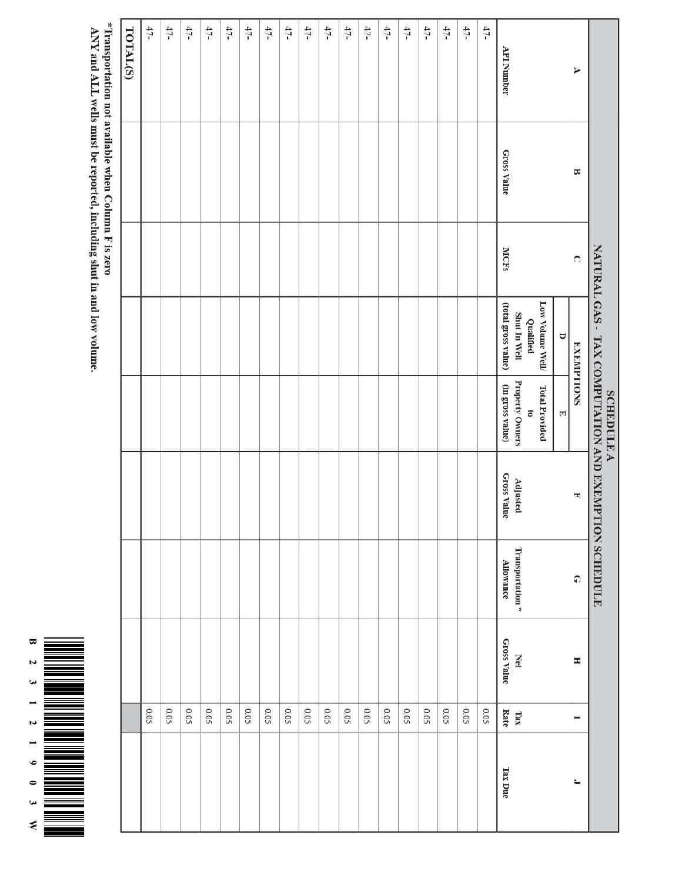|                                                     |                    |             |                                            | <b>SCHEDULE A</b>                   | NATURAL GAS - TAX COMPUTATION AND EXEMPTION SCHEDULE |                              |                           |                                 |              |
|-----------------------------------------------------|--------------------|-------------|--------------------------------------------|-------------------------------------|------------------------------------------------------|------------------------------|---------------------------|---------------------------------|--------------|
| A                                                   | Ε                  | $\Omega$    | <b>EXEMPTIONS</b>                          |                                     | H                                                    | $\Omega$                     | Η                         | $\overline{ }$                  | $\mathbf{r}$ |
|                                                     |                    |             | Φ                                          | E                                   |                                                      |                              |                           |                                 |              |
|                                                     |                    |             | Low Volume Well/                           | <b>Total Provided</b>               |                                                      |                              |                           |                                 |              |
|                                                     |                    |             | Qualified                                  | ō                                   |                                                      |                              |                           |                                 |              |
| <b>API Number</b>                                   | <b>Gross Value</b> | <b>MCFs</b> | (total gross value)<br><b>Shut In Well</b> | Property Owners<br>(in gross value) | <b>Gross Value</b><br>Adjusted                       | Transportation *<br>АПоwance | <b>Gross Value</b><br>Net | Rate<br>$\overline{\text{tar}}$ | Tax Due      |
| $47-$                                               |                    |             |                                            |                                     |                                                      |                              |                           | 0.05                            |              |
|                                                     |                    |             |                                            |                                     |                                                      |                              |                           |                                 |              |
| $47-$                                               |                    |             |                                            |                                     |                                                      |                              |                           | 0.05                            |              |
| $47-$                                               |                    |             |                                            |                                     |                                                      |                              |                           | 0.05                            |              |
| $47-$                                               |                    |             |                                            |                                     |                                                      |                              |                           | 0.05                            |              |
| $47-$                                               |                    |             |                                            |                                     |                                                      |                              |                           | 50.05                           |              |
| $47-$                                               |                    |             |                                            |                                     |                                                      |                              |                           | 0.05                            |              |
| $47-$                                               |                    |             |                                            |                                     |                                                      |                              |                           | 0.05                            |              |
| $47-$                                               |                    |             |                                            |                                     |                                                      |                              |                           | 0.05                            |              |
| 47-                                                 |                    |             |                                            |                                     |                                                      |                              |                           | 0.05                            |              |
| $47-$                                               |                    |             |                                            |                                     |                                                      |                              |                           | 0.05                            |              |
| $47-$                                               |                    |             |                                            |                                     |                                                      |                              |                           | 0.05                            |              |
| $47-$                                               |                    |             |                                            |                                     |                                                      |                              |                           | 0.05                            |              |
| $47-$                                               |                    |             |                                            |                                     |                                                      |                              |                           | 0.05                            |              |
| $47-$                                               |                    |             |                                            |                                     |                                                      |                              |                           | 0.05                            |              |
| 47-                                                 |                    |             |                                            |                                     |                                                      |                              |                           | 0.05                            |              |
| 47-                                                 |                    |             |                                            |                                     |                                                      |                              |                           | 0.05                            |              |
| $47-$                                               |                    |             |                                            |                                     |                                                      |                              |                           | 0.05                            |              |
| $47-$                                               |                    |             |                                            |                                     |                                                      |                              |                           | 0.05                            |              |
| TOTAL(S)                                            |                    |             |                                            |                                     |                                                      |                              |                           |                                 |              |
| *Transportation not available when Column F is zero |                    |             |                                            |                                     |                                                      |                              |                           |                                 |              |

ANY and ALL wells must be reported, including shut in and low volume.

 $=$ ٠

 $\Xi$  $\overline{\mathbf{v}}$  $\bullet$  $\overline{\phantom{0}}$  $\overline{v}$ 

 $\blacksquare$  $\bullet$  $\bullet$  $\bullet$ 

 $\triangleleft$ Ē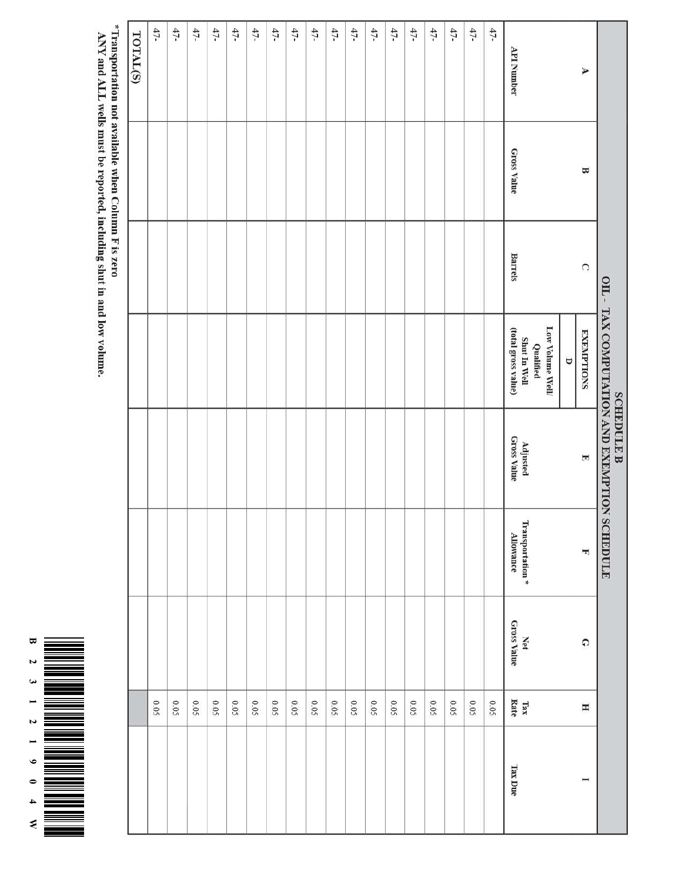

\*Transportation not available when Column F is zero<br>ANY and ALL wells must be reported, including shut in and low volume.

| TOTAL(S) | $47-$ | $47-$ | $47-$ | $47-$ | $47-$ | $47-$ | $47-$       | $47-$ | $47-$ | $47-$ | $47-$ | $47-$ | $47-$ | $47-$ | $47-$ | $47-$ | $47-$ | $47-$ | API Number                                                          |        | A                 |                                                          |
|----------|-------|-------|-------|-------|-------|-------|-------------|-------|-------|-------|-------|-------|-------|-------|-------|-------|-------|-------|---------------------------------------------------------------------|--------|-------------------|----------------------------------------------------------|
|          |       |       |       |       |       |       |             |       |       |       |       |       |       |       |       |       |       |       | <b>Gross Value</b>                                                  |        | Ε                 |                                                          |
|          |       |       |       |       |       |       |             |       |       |       |       |       |       |       |       |       |       |       | <b>Barrels</b>                                                      |        | $\Omega$          |                                                          |
|          |       |       |       |       |       |       |             |       |       |       |       |       |       |       |       |       |       |       | Low Volume Well<br>Shut In Well<br>(total gross value)<br>Qualified | $\cup$ | <b>EXEMPTIONS</b> |                                                          |
|          |       |       |       |       |       |       |             |       |       |       |       |       |       |       |       |       |       |       | <b>Gross Value</b><br>Adjusted                                      |        | F                 | OIL - TAX COMPUTATION AND EXEMPTION<br><b>SCHEDULE B</b> |
|          |       |       |       |       |       |       |             |       |       |       |       |       |       |       |       |       |       |       | Transportation*<br><b>Allowance</b>                                 |        | H                 | <b>SCHEDULE</b>                                          |
|          |       |       |       |       |       |       |             |       |       |       |       |       |       |       |       |       |       |       | <b>Gross Value</b><br>Net                                           |        | $\Omega$          |                                                          |
|          | 50'0  | 0.05  | 0.05  | 0.05  | 0.05  | 0.05  | <b>SO'O</b> | 0.05  | 0.05  | 0.05  | 0.05  | 0.05  | 0.05  | 0.05  | 50.05 | 0.05  | 0.05  | 0.05  | Tax<br>Rate                                                         |        | $\mathbf H$       |                                                          |
|          |       |       |       |       |       |       |             |       |       |       |       |       |       |       |       |       |       |       | Tax Due                                                             |        | I                 |                                                          |